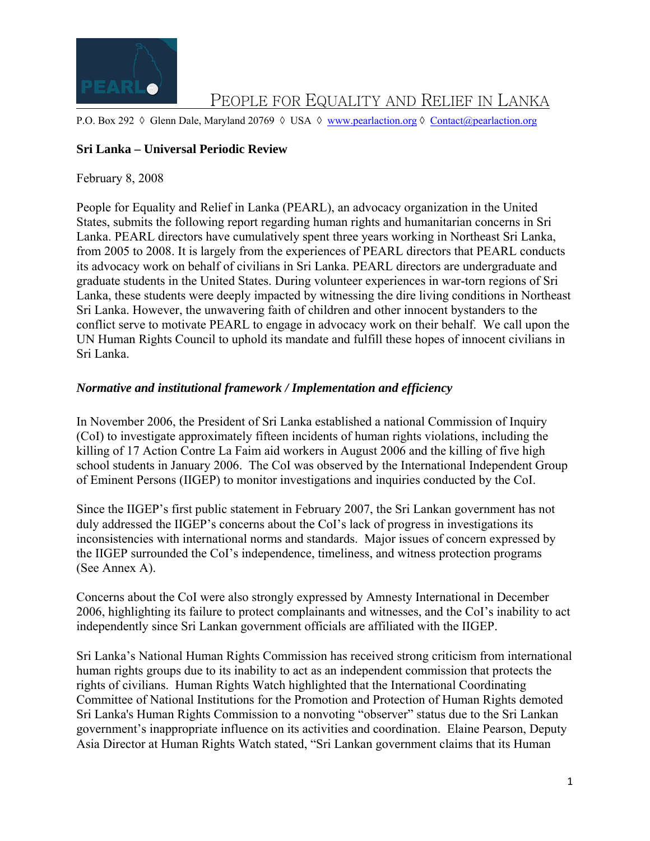

PEOPLE FOR EQUALITY AND RELIEF IN LANKA

P.O. Box 292 ◊ Glenn Dale, Maryland 20769 ◊ USA ◊ www.pearlaction.org ◊ Contact@pearlaction.org

# **Sri Lanka – Universal Periodic Review**

February 8, 2008

People for Equality and Relief in Lanka (PEARL), an advocacy organization in the United States, submits the following report regarding human rights and humanitarian concerns in Sri Lanka. PEARL directors have cumulatively spent three years working in Northeast Sri Lanka, from 2005 to 2008. It is largely from the experiences of PEARL directors that PEARL conducts its advocacy work on behalf of civilians in Sri Lanka. PEARL directors are undergraduate and graduate students in the United States. During volunteer experiences in war-torn regions of Sri Lanka, these students were deeply impacted by witnessing the dire living conditions in Northeast Sri Lanka. However, the unwavering faith of children and other innocent bystanders to the conflict serve to motivate PEARL to engage in advocacy work on their behalf. We call upon the UN Human Rights Council to uphold its mandate and fulfill these hopes of innocent civilians in Sri Lanka.

# *Normative and institutional framework / Implementation and efficiency*

In November 2006, the President of Sri Lanka established a national Commission of Inquiry (CoI) to investigate approximately fifteen incidents of human rights violations, including the killing of 17 Action Contre La Faim aid workers in August 2006 and the killing of five high school students in January 2006. The CoI was observed by the International Independent Group of Eminent Persons (IIGEP) to monitor investigations and inquiries conducted by the CoI.

Since the IIGEP's first public statement in February 2007, the Sri Lankan government has not duly addressed the IIGEP's concerns about the CoI's lack of progress in investigations its inconsistencies with international norms and standards. Major issues of concern expressed by the IIGEP surrounded the CoI's independence, timeliness, and witness protection programs (See Annex A).

Concerns about the CoI were also strongly expressed by Amnesty International in December 2006, highlighting its failure to protect complainants and witnesses, and the CoI's inability to act independently since Sri Lankan government officials are affiliated with the IIGEP.

Sri Lanka's National Human Rights Commission has received strong criticism from international human rights groups due to its inability to act as an independent commission that protects the rights of civilians. Human Rights Watch highlighted that the International Coordinating Committee of National Institutions for the Promotion and Protection of Human Rights demoted Sri Lanka's Human Rights Commission to a nonvoting "observer" status due to the Sri Lankan government's inappropriate influence on its activities and coordination. Elaine Pearson, Deputy Asia Director at Human Rights Watch stated, "Sri Lankan government claims that its Human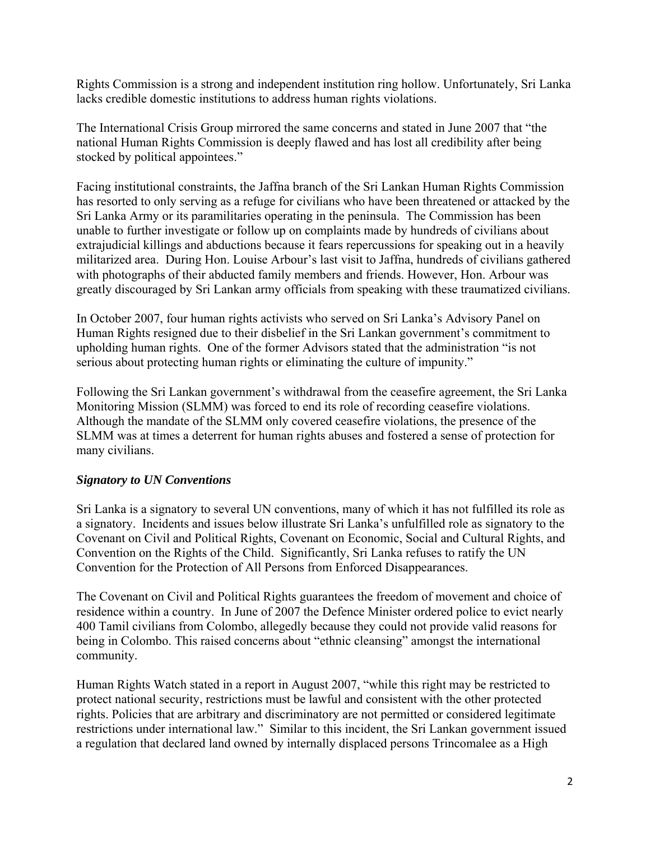Rights Commission is a strong and independent institution ring hollow. Unfortunately, Sri Lanka lacks credible domestic institutions to address human rights violations.

The International Crisis Group mirrored the same concerns and stated in June 2007 that "the national Human Rights Commission is deeply flawed and has lost all credibility after being stocked by political appointees."

Facing institutional constraints, the Jaffna branch of the Sri Lankan Human Rights Commission has resorted to only serving as a refuge for civilians who have been threatened or attacked by the Sri Lanka Army or its paramilitaries operating in the peninsula. The Commission has been unable to further investigate or follow up on complaints made by hundreds of civilians about extrajudicial killings and abductions because it fears repercussions for speaking out in a heavily militarized area. During Hon. Louise Arbour's last visit to Jaffna, hundreds of civilians gathered with photographs of their abducted family members and friends. However, Hon. Arbour was greatly discouraged by Sri Lankan army officials from speaking with these traumatized civilians.

In October 2007, four human rights activists who served on Sri Lanka's Advisory Panel on Human Rights resigned due to their disbelief in the Sri Lankan government's commitment to upholding human rights. One of the former Advisors stated that the administration "is not serious about protecting human rights or eliminating the culture of impunity."

Following the Sri Lankan government's withdrawal from the ceasefire agreement, the Sri Lanka Monitoring Mission (SLMM) was forced to end its role of recording ceasefire violations. Although the mandate of the SLMM only covered ceasefire violations, the presence of the SLMM was at times a deterrent for human rights abuses and fostered a sense of protection for many civilians.

# *Signatory to UN Conventions*

Sri Lanka is a signatory to several UN conventions, many of which it has not fulfilled its role as a signatory. Incidents and issues below illustrate Sri Lanka's unfulfilled role as signatory to the Covenant on Civil and Political Rights, Covenant on Economic, Social and Cultural Rights, and Convention on the Rights of the Child. Significantly, Sri Lanka refuses to ratify the UN Convention for the Protection of All Persons from Enforced Disappearances.

The Covenant on Civil and Political Rights guarantees the freedom of movement and choice of residence within a country. In June of 2007 the Defence Minister ordered police to evict nearly 400 Tamil civilians from Colombo, allegedly because they could not provide valid reasons for being in Colombo. This raised concerns about "ethnic cleansing" amongst the international community.

Human Rights Watch stated in a report in August 2007, "while this right may be restricted to protect national security, restrictions must be lawful and consistent with the other protected rights. Policies that are arbitrary and discriminatory are not permitted or considered legitimate restrictions under international law." Similar to this incident, the Sri Lankan government issued a regulation that declared land owned by internally displaced persons Trincomalee as a High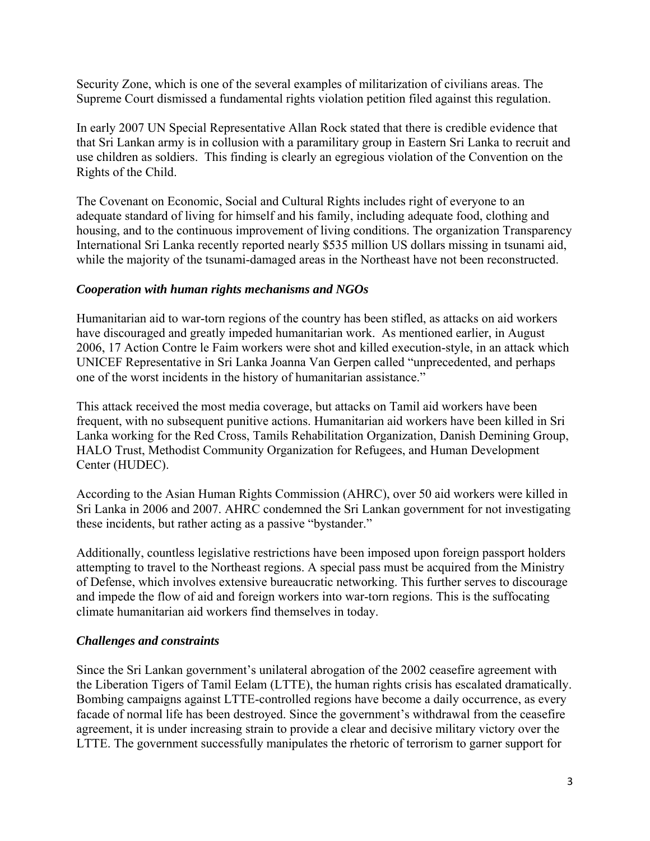Security Zone, which is one of the several examples of militarization of civilians areas. The Supreme Court dismissed a fundamental rights violation petition filed against this regulation.

In early 2007 UN Special Representative Allan Rock stated that there is credible evidence that that Sri Lankan army is in collusion with a paramilitary group in Eastern Sri Lanka to recruit and use children as soldiers. This finding is clearly an egregious violation of the Convention on the Rights of the Child.

The Covenant on Economic, Social and Cultural Rights includes right of everyone to an adequate standard of living for himself and his family, including adequate food, clothing and housing, and to the continuous improvement of living conditions. The organization Transparency International Sri Lanka recently reported nearly \$535 million US dollars missing in tsunami aid, while the majority of the tsunami-damaged areas in the Northeast have not been reconstructed.

## *Cooperation with human rights mechanisms and NGOs*

Humanitarian aid to war-torn regions of the country has been stifled, as attacks on aid workers have discouraged and greatly impeded humanitarian work. As mentioned earlier, in August 2006, 17 Action Contre le Faim workers were shot and killed execution-style, in an attack which UNICEF Representative in Sri Lanka Joanna Van Gerpen called "unprecedented, and perhaps one of the worst incidents in the history of humanitarian assistance."

This attack received the most media coverage, but attacks on Tamil aid workers have been frequent, with no subsequent punitive actions. Humanitarian aid workers have been killed in Sri Lanka working for the Red Cross, Tamils Rehabilitation Organization, Danish Demining Group, HALO Trust, Methodist Community Organization for Refugees, and Human Development Center (HUDEC).

According to the Asian Human Rights Commission (AHRC), over 50 aid workers were killed in Sri Lanka in 2006 and 2007. AHRC condemned the Sri Lankan government for not investigating these incidents, but rather acting as a passive "bystander."

Additionally, countless legislative restrictions have been imposed upon foreign passport holders attempting to travel to the Northeast regions. A special pass must be acquired from the Ministry of Defense, which involves extensive bureaucratic networking. This further serves to discourage and impede the flow of aid and foreign workers into war-torn regions. This is the suffocating climate humanitarian aid workers find themselves in today.

# *Challenges and constraints*

Since the Sri Lankan government's unilateral abrogation of the 2002 ceasefire agreement with the Liberation Tigers of Tamil Eelam (LTTE), the human rights crisis has escalated dramatically. Bombing campaigns against LTTE-controlled regions have become a daily occurrence, as every facade of normal life has been destroyed. Since the government's withdrawal from the ceasefire agreement, it is under increasing strain to provide a clear and decisive military victory over the LTTE. The government successfully manipulates the rhetoric of terrorism to garner support for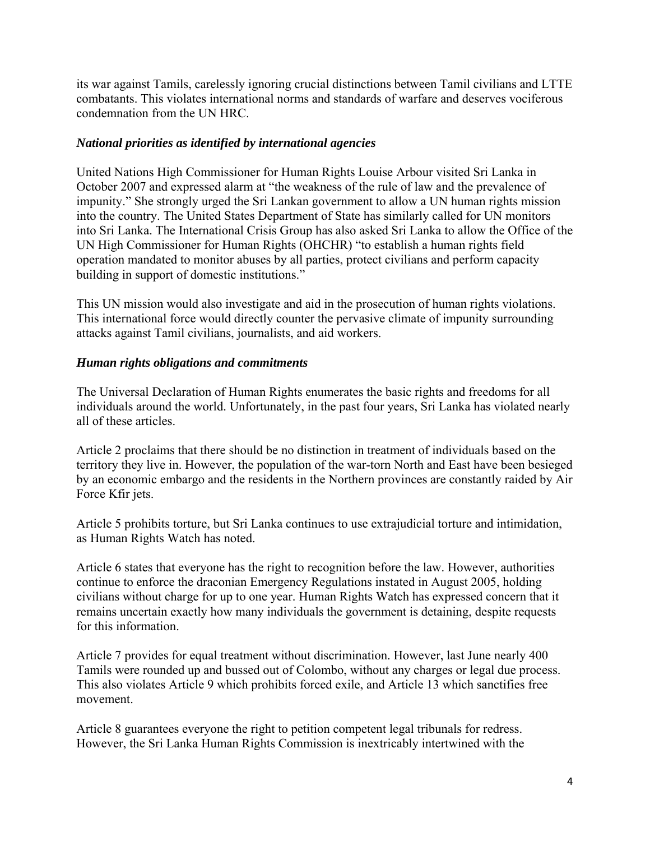its war against Tamils, carelessly ignoring crucial distinctions between Tamil civilians and LTTE combatants. This violates international norms and standards of warfare and deserves vociferous condemnation from the UN HRC.

# *National priorities as identified by international agencies*

United Nations High Commissioner for Human Rights Louise Arbour visited Sri Lanka in October 2007 and expressed alarm at "the weakness of the rule of law and the prevalence of impunity." She strongly urged the Sri Lankan government to allow a UN human rights mission into the country. The United States Department of State has similarly called for UN monitors into Sri Lanka. The International Crisis Group has also asked Sri Lanka to allow the Office of the UN High Commissioner for Human Rights (OHCHR) "to establish a human rights field operation mandated to monitor abuses by all parties, protect civilians and perform capacity building in support of domestic institutions."

This UN mission would also investigate and aid in the prosecution of human rights violations. This international force would directly counter the pervasive climate of impunity surrounding attacks against Tamil civilians, journalists, and aid workers.

## *Human rights obligations and commitments*

The Universal Declaration of Human Rights enumerates the basic rights and freedoms for all individuals around the world. Unfortunately, in the past four years, Sri Lanka has violated nearly all of these articles.

Article 2 proclaims that there should be no distinction in treatment of individuals based on the territory they live in. However, the population of the war-torn North and East have been besieged by an economic embargo and the residents in the Northern provinces are constantly raided by Air Force Kfir jets.

Article 5 prohibits torture, but Sri Lanka continues to use extrajudicial torture and intimidation, as Human Rights Watch has noted.

Article 6 states that everyone has the right to recognition before the law. However, authorities continue to enforce the draconian Emergency Regulations instated in August 2005, holding civilians without charge for up to one year. Human Rights Watch has expressed concern that it remains uncertain exactly how many individuals the government is detaining, despite requests for this information.

Article 7 provides for equal treatment without discrimination. However, last June nearly 400 Tamils were rounded up and bussed out of Colombo, without any charges or legal due process. This also violates Article 9 which prohibits forced exile, and Article 13 which sanctifies free movement.

Article 8 guarantees everyone the right to petition competent legal tribunals for redress. However, the Sri Lanka Human Rights Commission is inextricably intertwined with the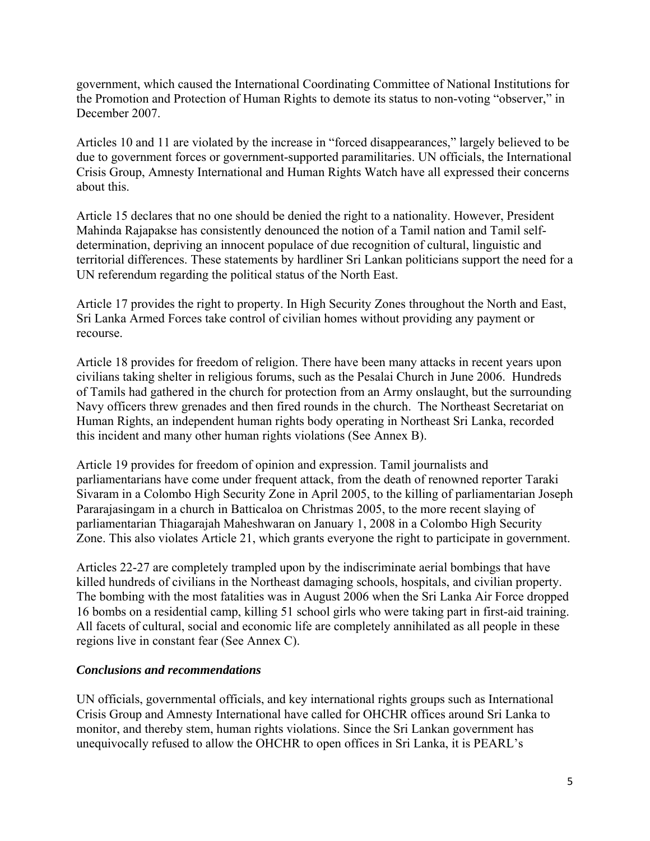government, which caused the International Coordinating Committee of National Institutions for the Promotion and Protection of Human Rights to demote its status to non-voting "observer," in December 2007.

Articles 10 and 11 are violated by the increase in "forced disappearances," largely believed to be due to government forces or government-supported paramilitaries. UN officials, the International Crisis Group, Amnesty International and Human Rights Watch have all expressed their concerns about this.

Article 15 declares that no one should be denied the right to a nationality. However, President Mahinda Rajapakse has consistently denounced the notion of a Tamil nation and Tamil selfdetermination, depriving an innocent populace of due recognition of cultural, linguistic and territorial differences. These statements by hardliner Sri Lankan politicians support the need for a UN referendum regarding the political status of the North East.

Article 17 provides the right to property. In High Security Zones throughout the North and East, Sri Lanka Armed Forces take control of civilian homes without providing any payment or recourse.

Article 18 provides for freedom of religion. There have been many attacks in recent years upon civilians taking shelter in religious forums, such as the Pesalai Church in June 2006. Hundreds of Tamils had gathered in the church for protection from an Army onslaught, but the surrounding Navy officers threw grenades and then fired rounds in the church. The Northeast Secretariat on Human Rights, an independent human rights body operating in Northeast Sri Lanka, recorded this incident and many other human rights violations (See Annex B).

Article 19 provides for freedom of opinion and expression. Tamil journalists and parliamentarians have come under frequent attack, from the death of renowned reporter Taraki Sivaram in a Colombo High Security Zone in April 2005, to the killing of parliamentarian Joseph Pararajasingam in a church in Batticaloa on Christmas 2005, to the more recent slaying of parliamentarian Thiagarajah Maheshwaran on January 1, 2008 in a Colombo High Security Zone. This also violates Article 21, which grants everyone the right to participate in government.

Articles 22-27 are completely trampled upon by the indiscriminate aerial bombings that have killed hundreds of civilians in the Northeast damaging schools, hospitals, and civilian property. The bombing with the most fatalities was in August 2006 when the Sri Lanka Air Force dropped 16 bombs on a residential camp, killing 51 school girls who were taking part in first-aid training. All facets of cultural, social and economic life are completely annihilated as all people in these regions live in constant fear (See Annex C).

# *Conclusions and recommendations*

UN officials, governmental officials, and key international rights groups such as International Crisis Group and Amnesty International have called for OHCHR offices around Sri Lanka to monitor, and thereby stem, human rights violations. Since the Sri Lankan government has unequivocally refused to allow the OHCHR to open offices in Sri Lanka, it is PEARL's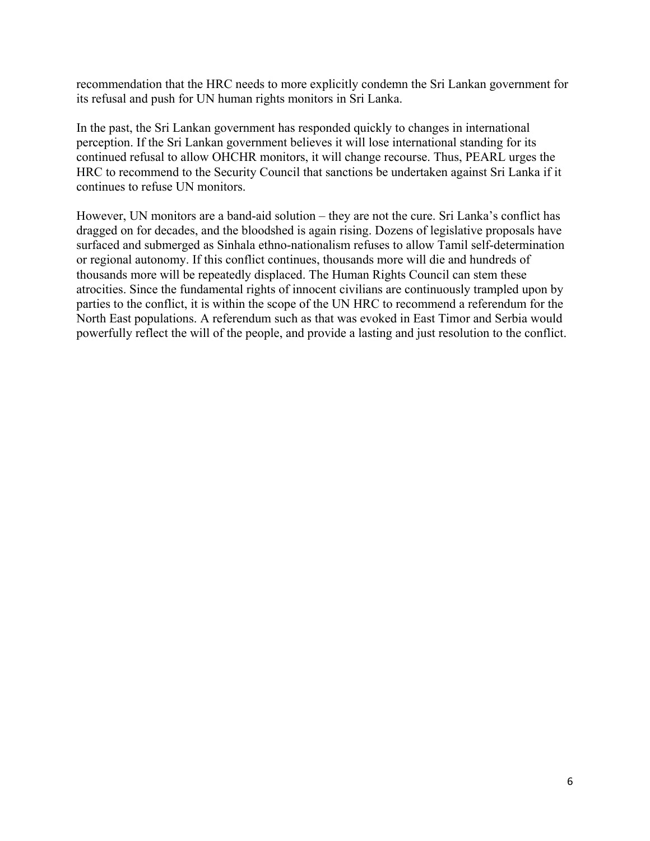recommendation that the HRC needs to more explicitly condemn the Sri Lankan government for its refusal and push for UN human rights monitors in Sri Lanka.

In the past, the Sri Lankan government has responded quickly to changes in international perception. If the Sri Lankan government believes it will lose international standing for its continued refusal to allow OHCHR monitors, it will change recourse. Thus, PEARL urges the HRC to recommend to the Security Council that sanctions be undertaken against Sri Lanka if it continues to refuse UN monitors.

However, UN monitors are a band-aid solution – they are not the cure. Sri Lanka's conflict has dragged on for decades, and the bloodshed is again rising. Dozens of legislative proposals have surfaced and submerged as Sinhala ethno-nationalism refuses to allow Tamil self-determination or regional autonomy. If this conflict continues, thousands more will die and hundreds of thousands more will be repeatedly displaced. The Human Rights Council can stem these atrocities. Since the fundamental rights of innocent civilians are continuously trampled upon by parties to the conflict, it is within the scope of the UN HRC to recommend a referendum for the North East populations. A referendum such as that was evoked in East Timor and Serbia would powerfully reflect the will of the people, and provide a lasting and just resolution to the conflict.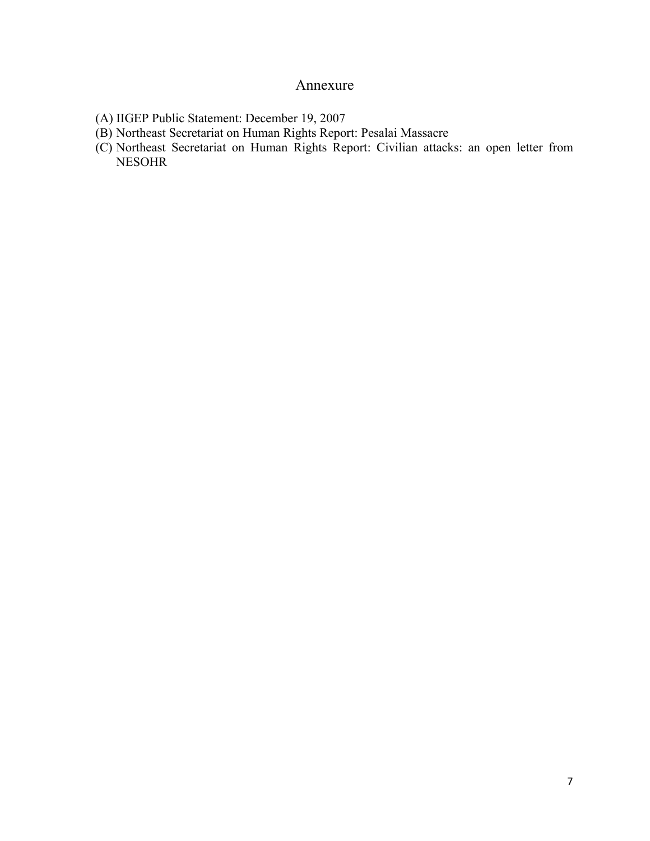# Annexure

- (A) IIGEP Public Statement: December 19, 2007
- (B) Northeast Secretariat on Human Rights Report: Pesalai Massacre
- (C) Northeast Secretariat on Human Rights Report: Civilian attacks: an open letter from NESOHR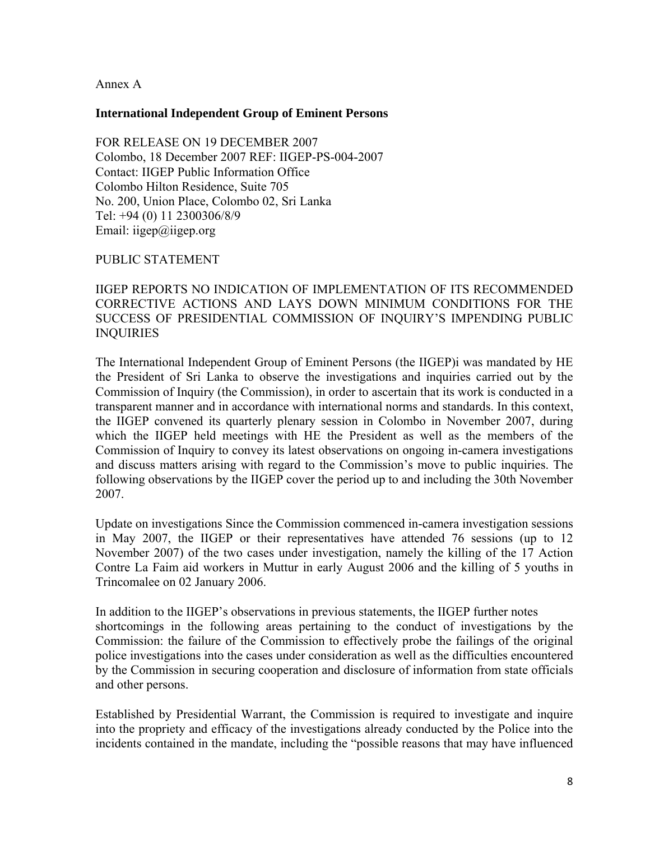Annex A

#### **International Independent Group of Eminent Persons**

FOR RELEASE ON 19 DECEMBER 2007 Colombo, 18 December 2007 REF: IIGEP-PS-004-2007 Contact: IIGEP Public Information Office Colombo Hilton Residence, Suite 705 No. 200, Union Place, Colombo 02, Sri Lanka Tel: +94 (0) 11 2300306/8/9 Email: iigep@iigep.org

PUBLIC STATEMENT

IIGEP REPORTS NO INDICATION OF IMPLEMENTATION OF ITS RECOMMENDED CORRECTIVE ACTIONS AND LAYS DOWN MINIMUM CONDITIONS FOR THE SUCCESS OF PRESIDENTIAL COMMISSION OF INQUIRY'S IMPENDING PUBLIC INQUIRIES

The International Independent Group of Eminent Persons (the IIGEP)i was mandated by HE the President of Sri Lanka to observe the investigations and inquiries carried out by the Commission of Inquiry (the Commission), in order to ascertain that its work is conducted in a transparent manner and in accordance with international norms and standards. In this context, the IIGEP convened its quarterly plenary session in Colombo in November 2007, during which the IIGEP held meetings with HE the President as well as the members of the Commission of Inquiry to convey its latest observations on ongoing in-camera investigations and discuss matters arising with regard to the Commission's move to public inquiries. The following observations by the IIGEP cover the period up to and including the 30th November 2007.

Update on investigations Since the Commission commenced in-camera investigation sessions in May 2007, the IIGEP or their representatives have attended 76 sessions (up to 12 November 2007) of the two cases under investigation, namely the killing of the 17 Action Contre La Faim aid workers in Muttur in early August 2006 and the killing of 5 youths in Trincomalee on 02 January 2006.

In addition to the IIGEP's observations in previous statements, the IIGEP further notes shortcomings in the following areas pertaining to the conduct of investigations by the Commission: the failure of the Commission to effectively probe the failings of the original police investigations into the cases under consideration as well as the difficulties encountered by the Commission in securing cooperation and disclosure of information from state officials and other persons.

Established by Presidential Warrant, the Commission is required to investigate and inquire into the propriety and efficacy of the investigations already conducted by the Police into the incidents contained in the mandate, including the "possible reasons that may have influenced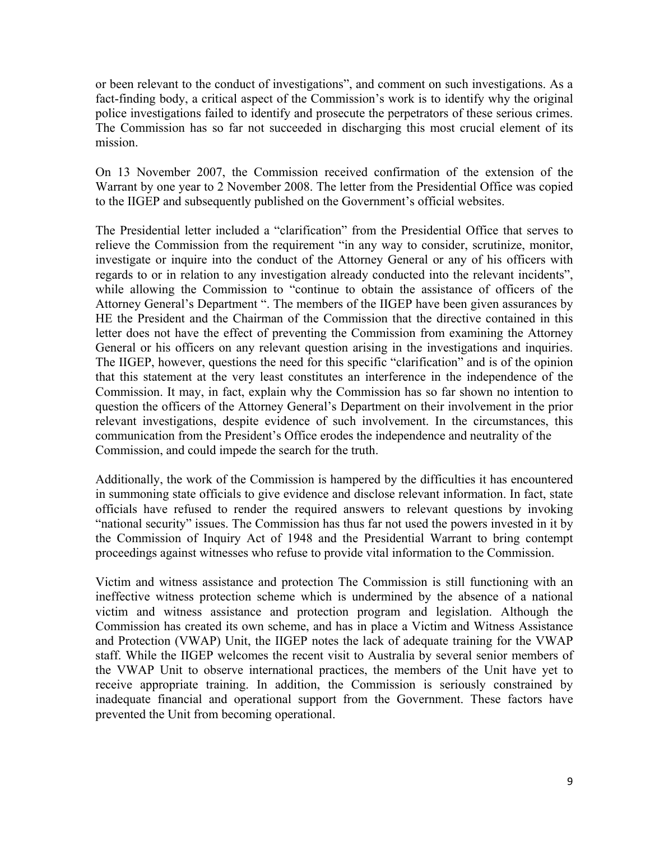or been relevant to the conduct of investigations", and comment on such investigations. As a fact-finding body, a critical aspect of the Commission's work is to identify why the original police investigations failed to identify and prosecute the perpetrators of these serious crimes. The Commission has so far not succeeded in discharging this most crucial element of its mission.

On 13 November 2007, the Commission received confirmation of the extension of the Warrant by one year to 2 November 2008. The letter from the Presidential Office was copied to the IIGEP and subsequently published on the Government's official websites.

The Presidential letter included a "clarification" from the Presidential Office that serves to relieve the Commission from the requirement "in any way to consider, scrutinize, monitor, investigate or inquire into the conduct of the Attorney General or any of his officers with regards to or in relation to any investigation already conducted into the relevant incidents", while allowing the Commission to "continue to obtain the assistance of officers of the Attorney General's Department ". The members of the IIGEP have been given assurances by HE the President and the Chairman of the Commission that the directive contained in this letter does not have the effect of preventing the Commission from examining the Attorney General or his officers on any relevant question arising in the investigations and inquiries. The IIGEP, however, questions the need for this specific "clarification" and is of the opinion that this statement at the very least constitutes an interference in the independence of the Commission. It may, in fact, explain why the Commission has so far shown no intention to question the officers of the Attorney General's Department on their involvement in the prior relevant investigations, despite evidence of such involvement. In the circumstances, this communication from the President's Office erodes the independence and neutrality of the Commission, and could impede the search for the truth.

Additionally, the work of the Commission is hampered by the difficulties it has encountered in summoning state officials to give evidence and disclose relevant information. In fact, state officials have refused to render the required answers to relevant questions by invoking "national security" issues. The Commission has thus far not used the powers invested in it by the Commission of Inquiry Act of 1948 and the Presidential Warrant to bring contempt proceedings against witnesses who refuse to provide vital information to the Commission.

Victim and witness assistance and protection The Commission is still functioning with an ineffective witness protection scheme which is undermined by the absence of a national victim and witness assistance and protection program and legislation. Although the Commission has created its own scheme, and has in place a Victim and Witness Assistance and Protection (VWAP) Unit, the IIGEP notes the lack of adequate training for the VWAP staff. While the IIGEP welcomes the recent visit to Australia by several senior members of the VWAP Unit to observe international practices, the members of the Unit have yet to receive appropriate training. In addition, the Commission is seriously constrained by inadequate financial and operational support from the Government. These factors have prevented the Unit from becoming operational.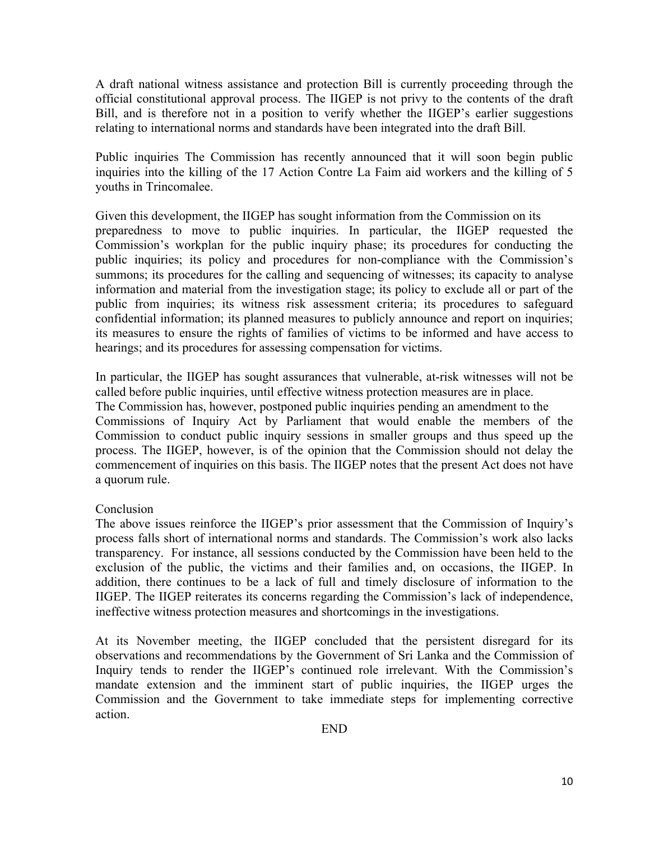A draft national witness assistance and protection Bill is currently proceeding through the official constitutional approval process. The IIGEP is not privy to the contents of the draft Bill, and is therefore not in a position to verify whether the IIGEP's earlier suggestions relating to international norms and standards have been integrated into the draft Bill.

Public inquiries The Commission has recently announced that it will soon begin public inquiries into the killing of the 17 Action Contre La Faim aid workers and the killing of 5 youths in Trincomalee.

Given this development, the IIGEP has sought information from the Commission on its preparedness to move to public inquiries. In particular, the IIGEP requested the Commission's workplan for the public inquiry phase; its procedures for conducting the public inquiries; its policy and procedures for non-compliance with the Commission's summons; its procedures for the calling and sequencing of witnesses; its capacity to analyse information and material from the investigation stage; its policy to exclude all or part of the public from inquiries; its witness risk assessment criteria; its procedures to safeguard confidential information; its planned measures to publicly announce and report on inquiries; its measures to ensure the rights of families of victims to be informed and have access to hearings; and its procedures for assessing compensation for victims.

In particular, the IIGEP has sought assurances that vulnerable, at-risk witnesses will not be called before public inquiries, until effective witness protection measures are in place. The Commission has, however, postponed public inquiries pending an amendment to the Commissions of Inquiry Act by Parliament that would enable the members of the Commission to conduct public inquiry sessions in smaller groups and thus speed up the process. The IIGEP, however, is of the opinion that the Commission should not delay the commencement of inquiries on this basis. The IIGEP notes that the present Act does not have a quorum rule.

# Conclusion

The above issues reinforce the IIGEP's prior assessment that the Commission of Inquiry's process falls short of international norms and standards. The Commission's work also lacks transparency. For instance, all sessions conducted by the Commission have been held to the exclusion of the public, the victims and their families and, on occasions, the IIGEP. In addition, there continues to be a lack of full and timely disclosure of information to the IIGEP. The IIGEP reiterates its concerns regarding the Commission's lack of independence, ineffective witness protection measures and shortcomings in the investigations.

At its November meeting, the IIGEP concluded that the persistent disregard for its observations and recommendations by the Government of Sri Lanka and the Commission of Inquiry tends to render the IIGEP's continued role irrelevant. With the Commission's mandate extension and the imminent start of public inquiries, the IIGEP urges the Commission and the Government to take immediate steps for implementing corrective action.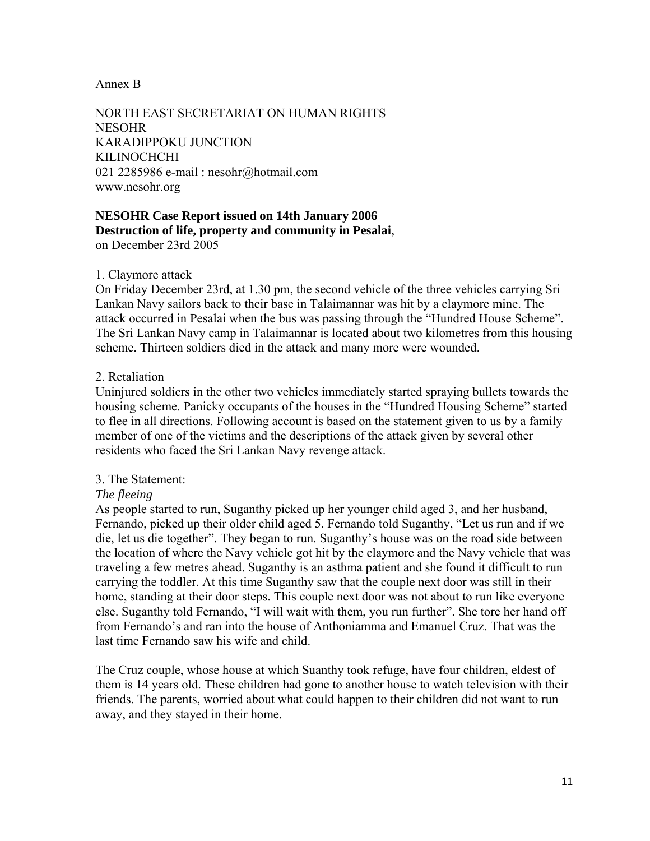#### Annex B

NORTH EAST SECRETARIAT ON HUMAN RIGHTS NESOHR KARADIPPOKU JUNCTION **KILINOCHCHI** 021 2285986 e-mail : nesohr@hotmail.com www.nesohr.org

#### **NESOHR Case Report issued on 14th January 2006 Destruction of life, property and community in Pesalai**, on December 23rd 2005

#### 1. Claymore attack

On Friday December 23rd, at 1.30 pm, the second vehicle of the three vehicles carrying Sri Lankan Navy sailors back to their base in Talaimannar was hit by a claymore mine. The attack occurred in Pesalai when the bus was passing through the "Hundred House Scheme". The Sri Lankan Navy camp in Talaimannar is located about two kilometres from this housing scheme. Thirteen soldiers died in the attack and many more were wounded.

## 2. Retaliation

Uninjured soldiers in the other two vehicles immediately started spraying bullets towards the housing scheme. Panicky occupants of the houses in the "Hundred Housing Scheme" started to flee in all directions. Following account is based on the statement given to us by a family member of one of the victims and the descriptions of the attack given by several other residents who faced the Sri Lankan Navy revenge attack.

#### 3. The Statement:

# *The fleeing*

As people started to run, Suganthy picked up her younger child aged 3, and her husband, Fernando, picked up their older child aged 5. Fernando told Suganthy, "Let us run and if we die, let us die together". They began to run. Suganthy's house was on the road side between the location of where the Navy vehicle got hit by the claymore and the Navy vehicle that was traveling a few metres ahead. Suganthy is an asthma patient and she found it difficult to run carrying the toddler. At this time Suganthy saw that the couple next door was still in their home, standing at their door steps. This couple next door was not about to run like everyone else. Suganthy told Fernando, "I will wait with them, you run further". She tore her hand off from Fernando's and ran into the house of Anthoniamma and Emanuel Cruz. That was the last time Fernando saw his wife and child.

The Cruz couple, whose house at which Suanthy took refuge, have four children, eldest of them is 14 years old. These children had gone to another house to watch television with their friends. The parents, worried about what could happen to their children did not want to run away, and they stayed in their home.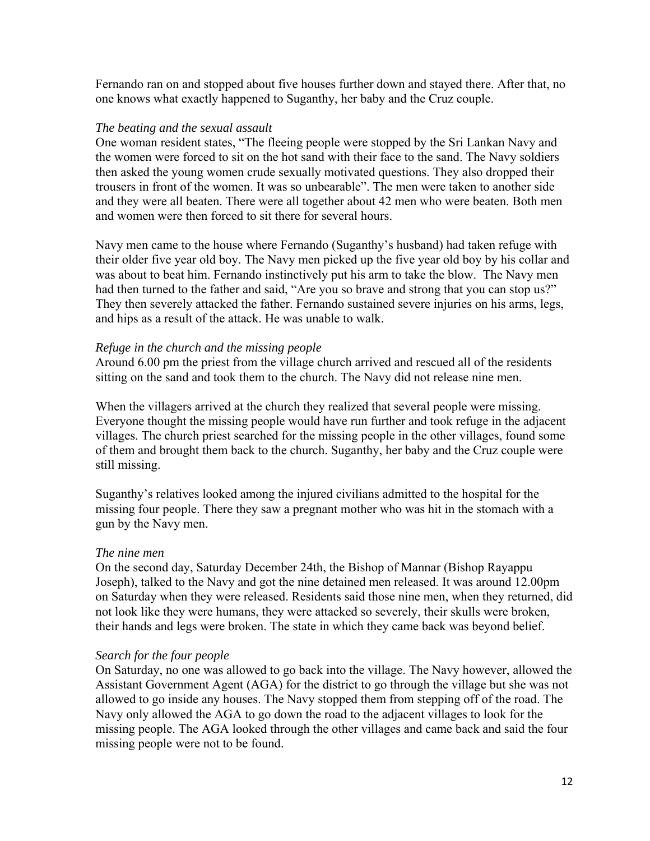Fernando ran on and stopped about five houses further down and stayed there. After that, no one knows what exactly happened to Suganthy, her baby and the Cruz couple.

#### *The beating and the sexual assault*

One woman resident states, "The fleeing people were stopped by the Sri Lankan Navy and the women were forced to sit on the hot sand with their face to the sand. The Navy soldiers then asked the young women crude sexually motivated questions. They also dropped their trousers in front of the women. It was so unbearable". The men were taken to another side and they were all beaten. There were all together about 42 men who were beaten. Both men and women were then forced to sit there for several hours.

Navy men came to the house where Fernando (Suganthy's husband) had taken refuge with their older five year old boy. The Navy men picked up the five year old boy by his collar and was about to beat him. Fernando instinctively put his arm to take the blow. The Navy men had then turned to the father and said, "Are you so brave and strong that you can stop us?" They then severely attacked the father. Fernando sustained severe injuries on his arms, legs, and hips as a result of the attack. He was unable to walk.

## *Refuge in the church and the missing people*

Around 6.00 pm the priest from the village church arrived and rescued all of the residents sitting on the sand and took them to the church. The Navy did not release nine men.

When the villagers arrived at the church they realized that several people were missing. Everyone thought the missing people would have run further and took refuge in the adjacent villages. The church priest searched for the missing people in the other villages, found some of them and brought them back to the church. Suganthy, her baby and the Cruz couple were still missing.

Suganthy's relatives looked among the injured civilians admitted to the hospital for the missing four people. There they saw a pregnant mother who was hit in the stomach with a gun by the Navy men.

#### *The nine men*

On the second day, Saturday December 24th, the Bishop of Mannar (Bishop Rayappu Joseph), talked to the Navy and got the nine detained men released. It was around 12.00pm on Saturday when they were released. Residents said those nine men, when they returned, did not look like they were humans, they were attacked so severely, their skulls were broken, their hands and legs were broken. The state in which they came back was beyond belief.

#### *Search for the four people*

On Saturday, no one was allowed to go back into the village. The Navy however, allowed the Assistant Government Agent (AGA) for the district to go through the village but she was not allowed to go inside any houses. The Navy stopped them from stepping off of the road. The Navy only allowed the AGA to go down the road to the adjacent villages to look for the missing people. The AGA looked through the other villages and came back and said the four missing people were not to be found.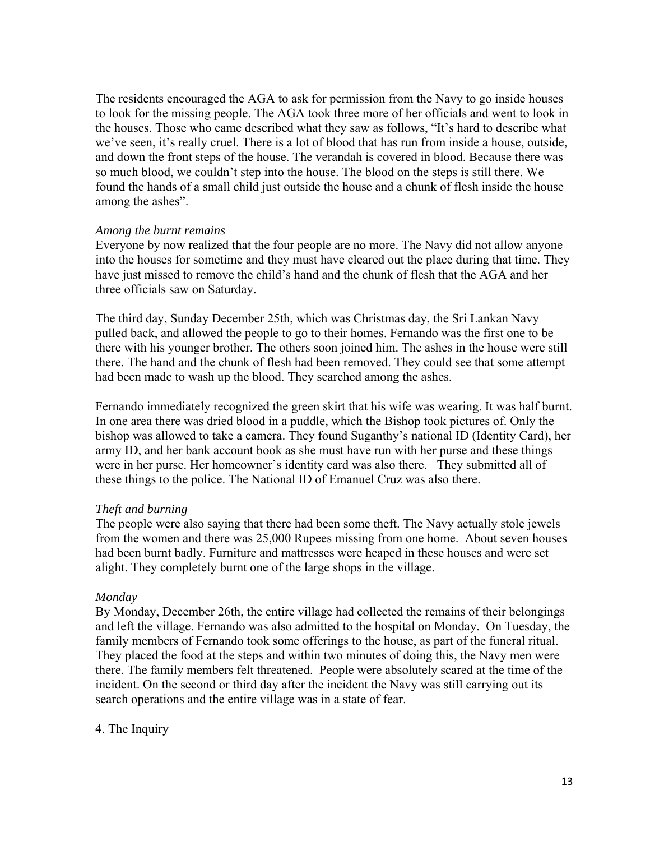The residents encouraged the AGA to ask for permission from the Navy to go inside houses to look for the missing people. The AGA took three more of her officials and went to look in the houses. Those who came described what they saw as follows, "It's hard to describe what we've seen, it's really cruel. There is a lot of blood that has run from inside a house, outside, and down the front steps of the house. The verandah is covered in blood. Because there was so much blood, we couldn't step into the house. The blood on the steps is still there. We found the hands of a small child just outside the house and a chunk of flesh inside the house among the ashes".

#### *Among the burnt remains*

Everyone by now realized that the four people are no more. The Navy did not allow anyone into the houses for sometime and they must have cleared out the place during that time. They have just missed to remove the child's hand and the chunk of flesh that the AGA and her three officials saw on Saturday.

The third day, Sunday December 25th, which was Christmas day, the Sri Lankan Navy pulled back, and allowed the people to go to their homes. Fernando was the first one to be there with his younger brother. The others soon joined him. The ashes in the house were still there. The hand and the chunk of flesh had been removed. They could see that some attempt had been made to wash up the blood. They searched among the ashes.

Fernando immediately recognized the green skirt that his wife was wearing. It was half burnt. In one area there was dried blood in a puddle, which the Bishop took pictures of. Only the bishop was allowed to take a camera. They found Suganthy's national ID (Identity Card), her army ID, and her bank account book as she must have run with her purse and these things were in her purse. Her homeowner's identity card was also there. They submitted all of these things to the police. The National ID of Emanuel Cruz was also there.

#### *Theft and burning*

The people were also saying that there had been some theft. The Navy actually stole jewels from the women and there was 25,000 Rupees missing from one home. About seven houses had been burnt badly. Furniture and mattresses were heaped in these houses and were set alight. They completely burnt one of the large shops in the village.

#### *Monday*

By Monday, December 26th, the entire village had collected the remains of their belongings and left the village. Fernando was also admitted to the hospital on Monday. On Tuesday, the family members of Fernando took some offerings to the house, as part of the funeral ritual. They placed the food at the steps and within two minutes of doing this, the Navy men were there. The family members felt threatened. People were absolutely scared at the time of the incident. On the second or third day after the incident the Navy was still carrying out its search operations and the entire village was in a state of fear.

#### 4. The Inquiry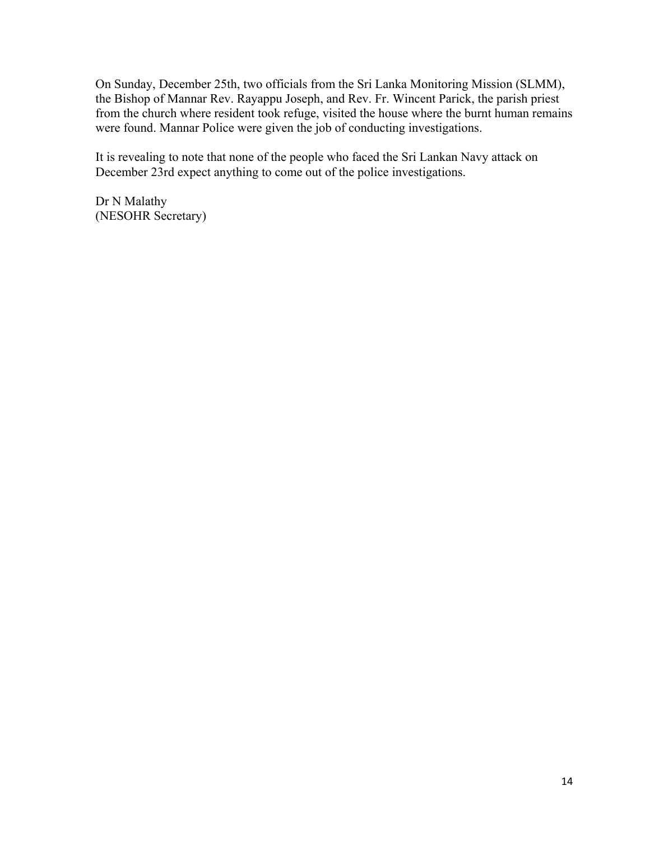On Sunday, December 25th, two officials from the Sri Lanka Monitoring Mission (SLMM), the Bishop of Mannar Rev. Rayappu Joseph, and Rev. Fr. Wincent Parick, the parish priest from the church where resident took refuge, visited the house where the burnt human remains were found. Mannar Police were given the job of conducting investigations.

It is revealing to note that none of the people who faced the Sri Lankan Navy attack on December 23rd expect anything to come out of the police investigations.

Dr N Malathy (NESOHR Secretary)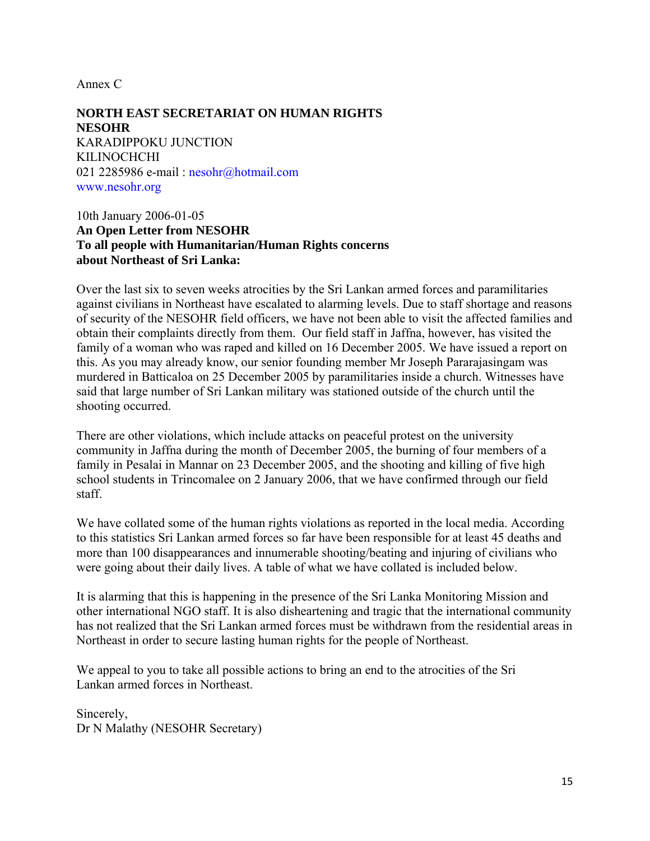Annex C

## **NORTH EAST SECRETARIAT ON HUMAN RIGHTS NESOHR**  KARADIPPOKU JUNCTION **KILINOCHCHI** 021 2285986 e-mail : nesohr@hotmail.com www.nesohr.org

# 10th January 2006-01-05 **An Open Letter from NESOHR To all people with Humanitarian/Human Rights concerns about Northeast of Sri Lanka:**

Over the last six to seven weeks atrocities by the Sri Lankan armed forces and paramilitaries against civilians in Northeast have escalated to alarming levels. Due to staff shortage and reasons of security of the NESOHR field officers, we have not been able to visit the affected families and obtain their complaints directly from them. Our field staff in Jaffna, however, has visited the family of a woman who was raped and killed on 16 December 2005. We have issued a report on this. As you may already know, our senior founding member Mr Joseph Pararajasingam was murdered in Batticaloa on 25 December 2005 by paramilitaries inside a church. Witnesses have said that large number of Sri Lankan military was stationed outside of the church until the shooting occurred.

There are other violations, which include attacks on peaceful protest on the university community in Jaffna during the month of December 2005, the burning of four members of a family in Pesalai in Mannar on 23 December 2005, and the shooting and killing of five high school students in Trincomalee on 2 January 2006, that we have confirmed through our field staff.

We have collated some of the human rights violations as reported in the local media. According to this statistics Sri Lankan armed forces so far have been responsible for at least 45 deaths and more than 100 disappearances and innumerable shooting/beating and injuring of civilians who were going about their daily lives. A table of what we have collated is included below.

It is alarming that this is happening in the presence of the Sri Lanka Monitoring Mission and other international NGO staff. It is also disheartening and tragic that the international community has not realized that the Sri Lankan armed forces must be withdrawn from the residential areas in Northeast in order to secure lasting human rights for the people of Northeast.

We appeal to you to take all possible actions to bring an end to the atrocities of the Sri Lankan armed forces in Northeast.

Sincerely, Dr N Malathy (NESOHR Secretary)